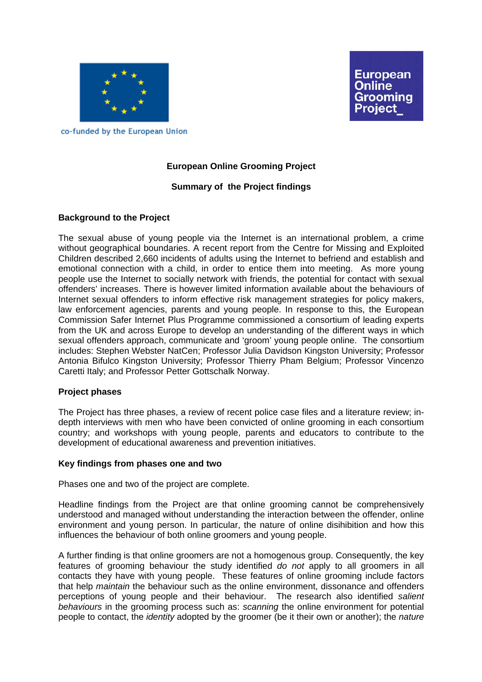

**European** Online Grooming Proiect

co-funded by the European Union

# **European Online Grooming Project**

## **Summary of the Project findings**

## **Background to the Project**

The sexual abuse of young people via the Internet is an international problem, a crime without geographical boundaries. A recent report from the [Centre for Missing and Exploited](http://www.missingkids.com/)  [Children](http://www.missingkids.com/) described 2,660 incidents of adults using the Internet to befriend and establish and emotional connection with a child, in order to entice them into meeting. As more young people use the Internet to socially network with friends, the potential for contact with sexual offenders' increases. There is however limited information available about the behaviours of Internet sexual offenders to inform effective risk management strategies for policy makers, law enforcement agencies, parents and young people. In response to this, the European Commission Safer Internet Plus Programme commissioned a consortium of leading experts from the UK and across Europe to develop an understanding of the different ways in which sexual offenders approach, communicate and 'groom' young people online. The consortium includes: Stephen Webster NatCen; Professor Julia Davidson Kingston University; Professor Antonia Bifulco Kingston University; Professor Thierry Pham Belgium; Professor Vincenzo Caretti Italy; and Professor Petter Gottschalk Norway.

### **Project phases**

The Project has three phases, a review of recent police case files and a literature review; indepth interviews with men who have been convicted of online grooming in each consortium country; and workshops with young people, parents and educators to contribute to the development of educational awareness and prevention initiatives.

### **Key findings from phases one and two**

Phases one and two of the project are complete.

Headline findings from the Project are that online grooming cannot be comprehensively understood and managed without understanding the interaction between the offender, online environment and young person. In particular, the nature of online disihibition and how this influences the behaviour of both online groomers and young people.

A further finding is that online groomers are not a homogenous group. Consequently, the key features of grooming behaviour the study identified *do not* apply to all groomers in all contacts they have with young people. These features of online grooming include factors that help *maintain* the behaviour such as the online environment, dissonance and offenders perceptions of young people and their behaviour. The research also identified *salient behaviours* in the grooming process such as: *scanning* the online environment for potential people to contact, the *identity* adopted by the groomer (be it their own or another); the *nature*